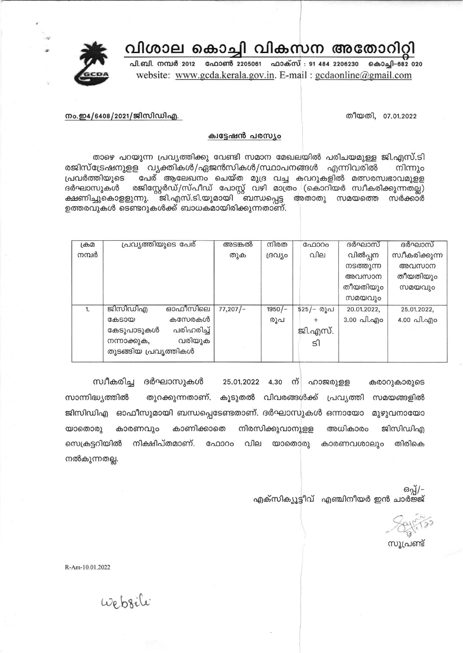## വിശാല കൊച്ചി വികസന അതോറിറ്റി



പി.ബി. നമ്പർ 2012 ഫോൺ 2205061 ഫാക്സ് : 91 484 2206230 കൊച്ചി-682 020 website: www.gcda.kerala.gov.in. E-mail: gcdaonline@gmail.com

നം.ഇ4/6408/2021/ജിസിഡിഎ.

തീയതി, 07.01.2022

## ക്വട്ടേഷൻ പരസ്യം

താഴെ പറയുന്ന പ്രവ്യത്തിക്കു വേണ്ടി സമാന മേഖലയിൽ പരിചയമുള്ള ജി.എസ്.ടി രജിസ്ട്രേഷനുളള വ്യക്തികൾ/ഏജൻസികൾ/സ്ഥാപനങ്ങൾ എന്നിവരിൽ നിന്നും പേര് ആലേഖനം ചെയ്ത മുദ്ര വച്ച കവറുകളിൽ മത്സരസ്വഭാവമുള്ള പ്രവർത്തിയുടെ രജിസ്റ്റേർഡ്/സ്പീഡ് പോസ്റ്റ് വഴി മാത്രം (കൊറിയർ സ്വീകരിക്കുന്നതല്ല) ദർഘാസുകൾ ക്ഷണിച്ചുകൊളളുന്നു. ``്ജി.എസ്.ടി.യുമായി ``ബന്ധപ്പെട്ട അതാതു സമയത്തെ സർക്കാർ ഉത്തരവുകൾ ടെണ്ടറുകൾക്ക് ബാധകമായിരിക്കുന്നതാണ്.

| ക്രമ  | പ്രവ്യത്തിയുടെ പേര്      | അടങ്കൽ   | നിരത     | ഫോറം      | ദർഘാസ്      | ദർഘാസ്         |
|-------|--------------------------|----------|----------|-----------|-------------|----------------|
| നമ്പർ |                          | തുക      | ദ്രവീം   | വില       | വിൽപ്പന     | സ്വീകരിക്കുന്ന |
|       |                          |          |          |           | നടത്തുന്ന   | അവസാന          |
|       |                          |          |          |           | അവസാന       | തീയതിയും       |
|       |                          |          |          |           | തീയതിയും    | സമയവും         |
|       |                          |          |          |           | സമയവും      |                |
| 1.    | ഓഫീസിലെ<br>ജിസിഡിഎ       | 77,207/– | $1950/-$ | 525/- രൂപ | 20.01.2022. | 25.01.2022,    |
|       | കസേരകൾ<br>കേടായ          |          | രൂപ      |           | 3.00 പി.എം  | 4.00 പി.എo     |
|       | പരിഹരിച്ച്<br>കേടുപാടുകൾ |          |          | ജി.എസ്.   |             |                |
|       | വരിയുക<br>നന്നാക്കുക,    |          |          | ടി        |             |                |
|       | തുടങ്ങിയ പ്രവൃത്തികൾ     |          |          |           |             |                |
|       |                          |          |          |           |             |                |

സ്വീകരിച്ച ദർഘാസുകൾ 25.01.2022 4.30 m ഹാജരുളള കരാറുകാരുടെ സാന്നിദ്ധ്യത്തിൽ തുറക്കുന്നതാണ്. കൂടുതൽ വിവരങ്ങൾക്ക് പ്രവ്യത്തി സമയങ്ങളിൽ ജിസിഡിഎ ഓഫീസുമായി ബന്ധപ്പെടേണ്ടതാണ്. ദർഘാസുകൾ ഒന്നായോ മുഴുവനായോ കാരണവും കാണിക്കാതെ നിരസിക്കുവാനുളള അധികാരം ജിസിഡിഎ യാതൊരു സെക്രട്ടറിയിൽ നിക്ഷിപ്തമാണ്. ഫോറം വില യാതൊരു കാരണവശാലും തിരികെ നൽകുന്നതല്ല.

ഒപ്പ്/-എക്സിക്യൂട്ടീവ് എഞ്ചിനീയർ ഇൻ ചാർജ്ജ്

സൂപ്രണ്ട്

R-Am-10.01.2022

website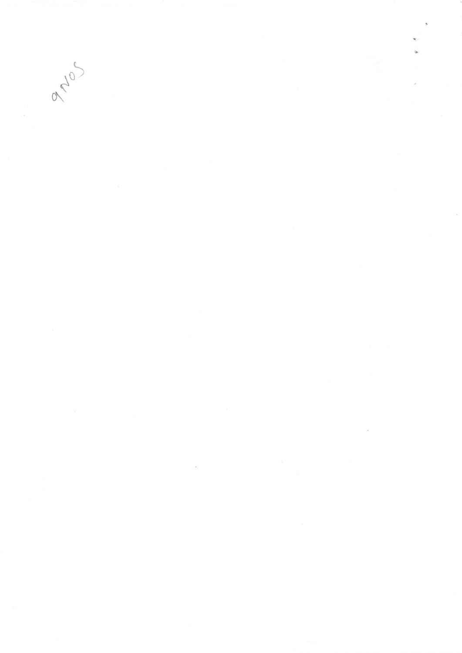